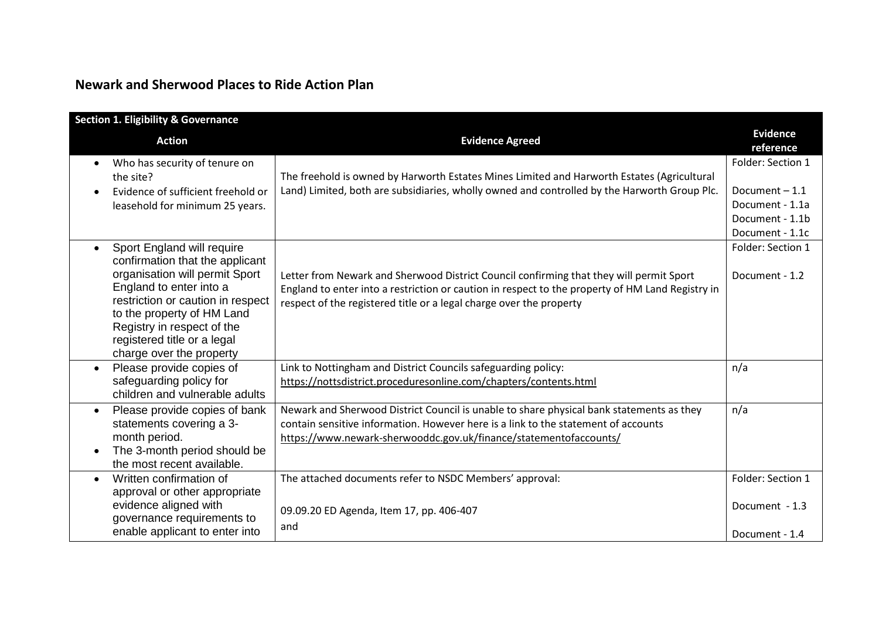| <b>Newark and Sherwood Places to Ride Action Plan</b> |  |  |  |  |
|-------------------------------------------------------|--|--|--|--|
|-------------------------------------------------------|--|--|--|--|

| <b>Section 1. Eligibility &amp; Governance</b>                                                                                                                                                                                                                                                      |                                                                                                                                                                                                                                                                    |                                                                                               |
|-----------------------------------------------------------------------------------------------------------------------------------------------------------------------------------------------------------------------------------------------------------------------------------------------------|--------------------------------------------------------------------------------------------------------------------------------------------------------------------------------------------------------------------------------------------------------------------|-----------------------------------------------------------------------------------------------|
| <b>Action</b>                                                                                                                                                                                                                                                                                       | <b>Evidence Agreed</b>                                                                                                                                                                                                                                             | <b>Evidence</b><br>reference                                                                  |
| Who has security of tenure on<br>$\bullet$<br>the site?<br>Evidence of sufficient freehold or<br>leasehold for minimum 25 years.                                                                                                                                                                    | The freehold is owned by Harworth Estates Mines Limited and Harworth Estates (Agricultural<br>Land) Limited, both are subsidiaries, wholly owned and controlled by the Harworth Group Plc.                                                                         | Folder: Section 1<br>Document $-1.1$<br>Document - 1.1a<br>Document - 1.1b<br>Document - 1.1c |
| Sport England will require<br>$\bullet$<br>confirmation that the applicant<br>organisation will permit Sport<br>England to enter into a<br>restriction or caution in respect<br>to the property of HM Land<br>Registry in respect of the<br>registered title or a legal<br>charge over the property | Letter from Newark and Sherwood District Council confirming that they will permit Sport<br>England to enter into a restriction or caution in respect to the property of HM Land Registry in<br>respect of the registered title or a legal charge over the property | Folder: Section 1<br>Document - 1.2                                                           |
| Please provide copies of<br>$\bullet$<br>safeguarding policy for<br>children and vulnerable adults                                                                                                                                                                                                  | Link to Nottingham and District Councils safeguarding policy:<br>https://nottsdistrict.proceduresonline.com/chapters/contents.html                                                                                                                                 | n/a                                                                                           |
| Please provide copies of bank<br>$\bullet$<br>statements covering a 3-<br>month period.<br>The 3-month period should be<br>$\bullet$<br>the most recent available.                                                                                                                                  | Newark and Sherwood District Council is unable to share physical bank statements as they<br>contain sensitive information. However here is a link to the statement of accounts<br>https://www.newark-sherwooddc.gov.uk/finance/statementofaccounts/                | n/a                                                                                           |
| Written confirmation of<br>$\bullet$<br>approval or other appropriate<br>evidence aligned with<br>governance requirements to<br>enable applicant to enter into                                                                                                                                      | The attached documents refer to NSDC Members' approval:<br>09.09.20 ED Agenda, Item 17, pp. 406-407<br>and                                                                                                                                                         | Folder: Section 1<br>Document - 1.3<br>Document - 1.4                                         |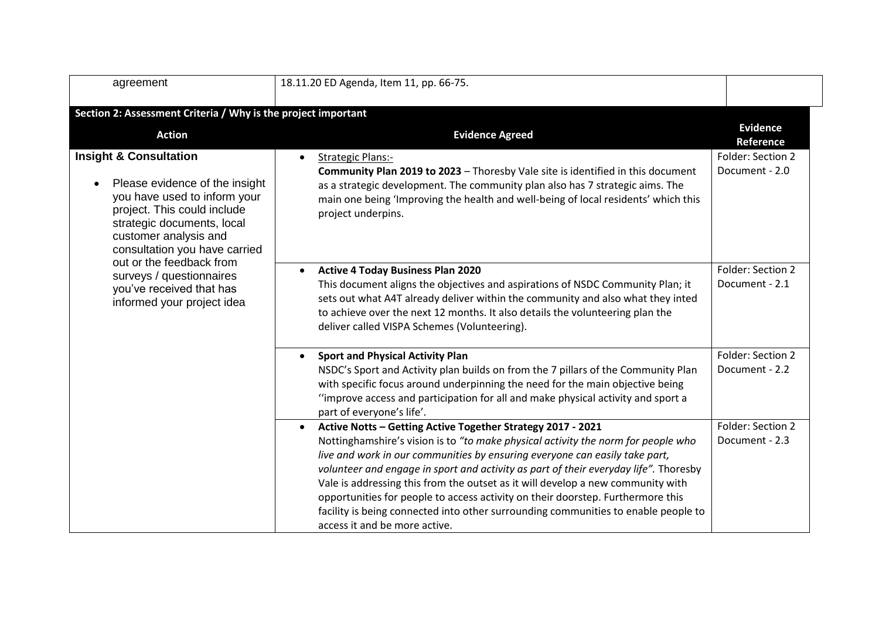| agreement                                                                                                                                                                                                                                                                                                                                    | 18.11.20 ED Agenda, Item 11, pp. 66-75.                                                                                                                                                                                                                                                                                                                                                                                                                                                                                                                                                                                           |                                     |
|----------------------------------------------------------------------------------------------------------------------------------------------------------------------------------------------------------------------------------------------------------------------------------------------------------------------------------------------|-----------------------------------------------------------------------------------------------------------------------------------------------------------------------------------------------------------------------------------------------------------------------------------------------------------------------------------------------------------------------------------------------------------------------------------------------------------------------------------------------------------------------------------------------------------------------------------------------------------------------------------|-------------------------------------|
| Section 2: Assessment Criteria / Why is the project important                                                                                                                                                                                                                                                                                |                                                                                                                                                                                                                                                                                                                                                                                                                                                                                                                                                                                                                                   |                                     |
| <b>Action</b>                                                                                                                                                                                                                                                                                                                                | <b>Evidence Agreed</b>                                                                                                                                                                                                                                                                                                                                                                                                                                                                                                                                                                                                            | <b>Evidence</b><br>Reference        |
| <b>Insight &amp; Consultation</b><br>Please evidence of the insight<br>you have used to inform your<br>project. This could include<br>strategic documents, local<br>customer analysis and<br>consultation you have carried<br>out or the feedback from<br>surveys / questionnaires<br>you've received that has<br>informed your project idea | <b>Strategic Plans:-</b><br>$\bullet$<br><b>Community Plan 2019 to 2023 - Thoresby Vale site is identified in this document</b><br>as a strategic development. The community plan also has 7 strategic aims. The<br>main one being 'Improving the health and well-being of local residents' which this<br>project underpins.                                                                                                                                                                                                                                                                                                      | Folder: Section 2<br>Document - 2.0 |
|                                                                                                                                                                                                                                                                                                                                              | <b>Active 4 Today Business Plan 2020</b><br>$\bullet$<br>This document aligns the objectives and aspirations of NSDC Community Plan; it<br>sets out what A4T already deliver within the community and also what they inted<br>to achieve over the next 12 months. It also details the volunteering plan the<br>deliver called VISPA Schemes (Volunteering).                                                                                                                                                                                                                                                                       | Folder: Section 2<br>Document - 2.1 |
|                                                                                                                                                                                                                                                                                                                                              | <b>Sport and Physical Activity Plan</b><br>NSDC's Sport and Activity plan builds on from the 7 pillars of the Community Plan<br>with specific focus around underpinning the need for the main objective being<br>"improve access and participation for all and make physical activity and sport a<br>part of everyone's life'.                                                                                                                                                                                                                                                                                                    | Folder: Section 2<br>Document - 2.2 |
|                                                                                                                                                                                                                                                                                                                                              | Active Notts - Getting Active Together Strategy 2017 - 2021<br>$\bullet$<br>Nottinghamshire's vision is to "to make physical activity the norm for people who<br>live and work in our communities by ensuring everyone can easily take part,<br>volunteer and engage in sport and activity as part of their everyday life". Thoresby<br>Vale is addressing this from the outset as it will develop a new community with<br>opportunities for people to access activity on their doorstep. Furthermore this<br>facility is being connected into other surrounding communities to enable people to<br>access it and be more active. | Folder: Section 2<br>Document - 2.3 |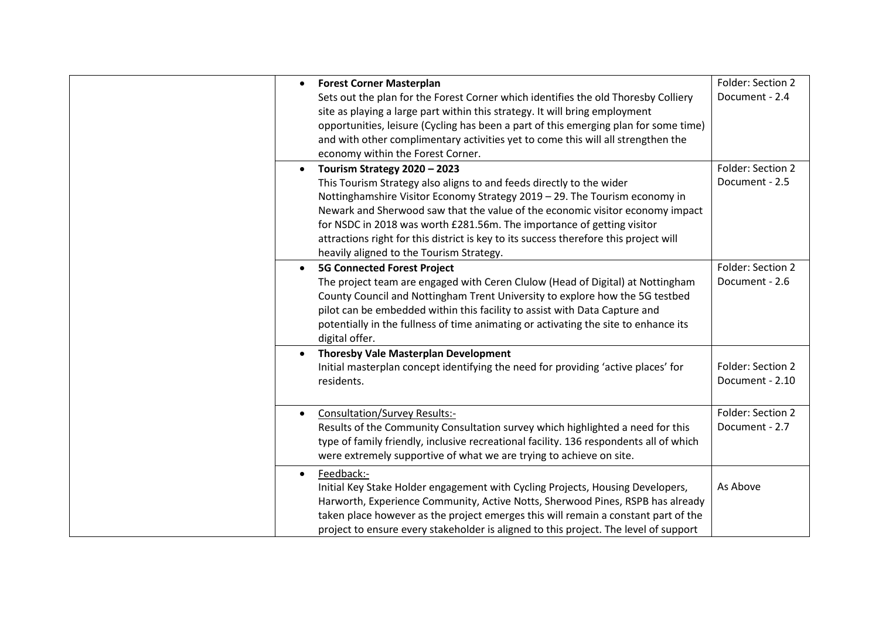| <b>Forest Corner Masterplan</b><br>$\bullet$<br>Sets out the plan for the Forest Corner which identifies the old Thoresby Colliery<br>site as playing a large part within this strategy. It will bring employment<br>opportunities, leisure (Cycling has been a part of this emerging plan for some time)<br>and with other complimentary activities yet to come this will all strengthen the<br>economy within the Forest Corner.                                                              | Folder: Section 2<br>Document - 2.4  |
|-------------------------------------------------------------------------------------------------------------------------------------------------------------------------------------------------------------------------------------------------------------------------------------------------------------------------------------------------------------------------------------------------------------------------------------------------------------------------------------------------|--------------------------------------|
| Tourism Strategy 2020 - 2023<br>$\bullet$<br>This Tourism Strategy also aligns to and feeds directly to the wider<br>Nottinghamshire Visitor Economy Strategy 2019 - 29. The Tourism economy in<br>Newark and Sherwood saw that the value of the economic visitor economy impact<br>for NSDC in 2018 was worth £281.56m. The importance of getting visitor<br>attractions right for this district is key to its success therefore this project will<br>heavily aligned to the Tourism Strategy. | Folder: Section 2<br>Document - 2.5  |
| <b>5G Connected Forest Project</b><br>$\bullet$<br>The project team are engaged with Ceren Clulow (Head of Digital) at Nottingham<br>County Council and Nottingham Trent University to explore how the 5G testbed<br>pilot can be embedded within this facility to assist with Data Capture and<br>potentially in the fullness of time animating or activating the site to enhance its<br>digital offer.                                                                                        | Folder: Section 2<br>Document - 2.6  |
| <b>Thoresby Vale Masterplan Development</b><br>Initial masterplan concept identifying the need for providing 'active places' for<br>residents.                                                                                                                                                                                                                                                                                                                                                  | Folder: Section 2<br>Document - 2.10 |
| <b>Consultation/Survey Results:-</b><br>Results of the Community Consultation survey which highlighted a need for this<br>type of family friendly, inclusive recreational facility. 136 respondents all of which<br>were extremely supportive of what we are trying to achieve on site.                                                                                                                                                                                                         | Folder: Section 2<br>Document - 2.7  |
| Feedback:-<br>$\bullet$<br>Initial Key Stake Holder engagement with Cycling Projects, Housing Developers,<br>Harworth, Experience Community, Active Notts, Sherwood Pines, RSPB has already<br>taken place however as the project emerges this will remain a constant part of the<br>project to ensure every stakeholder is aligned to this project. The level of support                                                                                                                       | As Above                             |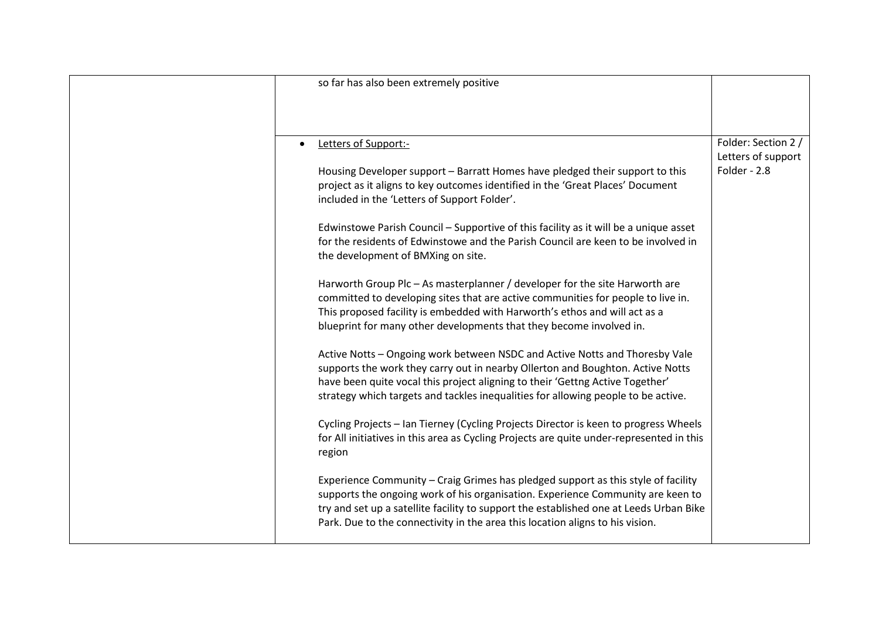| so far has also been extremely positive                                                  |                     |
|------------------------------------------------------------------------------------------|---------------------|
|                                                                                          |                     |
|                                                                                          |                     |
|                                                                                          |                     |
| Letters of Support:-<br>$\bullet$                                                        | Folder: Section 2 / |
|                                                                                          | Letters of support  |
| Housing Developer support - Barratt Homes have pledged their support to this             | Folder - 2.8        |
| project as it aligns to key outcomes identified in the 'Great Places' Document           |                     |
| included in the 'Letters of Support Folder'.                                             |                     |
|                                                                                          |                     |
| Edwinstowe Parish Council - Supportive of this facility as it will be a unique asset     |                     |
| for the residents of Edwinstowe and the Parish Council are keen to be involved in        |                     |
| the development of BMXing on site.                                                       |                     |
| Harworth Group Plc - As masterplanner / developer for the site Harworth are              |                     |
| committed to developing sites that are active communities for people to live in.         |                     |
| This proposed facility is embedded with Harworth's ethos and will act as a               |                     |
| blueprint for many other developments that they become involved in.                      |                     |
|                                                                                          |                     |
| Active Notts - Ongoing work between NSDC and Active Notts and Thoresby Vale              |                     |
| supports the work they carry out in nearby Ollerton and Boughton. Active Notts           |                     |
| have been quite vocal this project aligning to their 'Gettng Active Together'            |                     |
| strategy which targets and tackles inequalities for allowing people to be active.        |                     |
|                                                                                          |                     |
| Cycling Projects - Ian Tierney (Cycling Projects Director is keen to progress Wheels     |                     |
| for All initiatives in this area as Cycling Projects are quite under-represented in this |                     |
| region                                                                                   |                     |
| Experience Community - Craig Grimes has pledged support as this style of facility        |                     |
| supports the ongoing work of his organisation. Experience Community are keen to          |                     |
| try and set up a satellite facility to support the established one at Leeds Urban Bike   |                     |
| Park. Due to the connectivity in the area this location aligns to his vision.            |                     |
|                                                                                          |                     |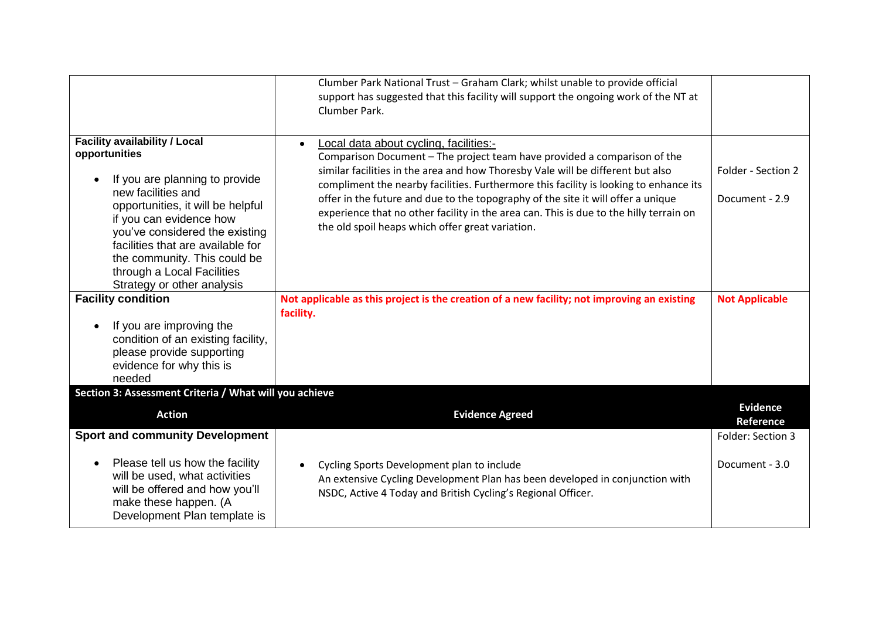|                                                                                                                                                                                                                                                                                                                                                  | Clumber Park National Trust - Graham Clark; whilst unable to provide official<br>support has suggested that this facility will support the ongoing work of the NT at<br>Clumber Park.                                                                                                                                                                                                                                                                                                                                                         |                                      |
|--------------------------------------------------------------------------------------------------------------------------------------------------------------------------------------------------------------------------------------------------------------------------------------------------------------------------------------------------|-----------------------------------------------------------------------------------------------------------------------------------------------------------------------------------------------------------------------------------------------------------------------------------------------------------------------------------------------------------------------------------------------------------------------------------------------------------------------------------------------------------------------------------------------|--------------------------------------|
| <b>Facility availability / Local</b><br>opportunities<br>If you are planning to provide<br>new facilities and<br>opportunities, it will be helpful<br>if you can evidence how<br>you've considered the existing<br>facilities that are available for<br>the community. This could be<br>through a Local Facilities<br>Strategy or other analysis | Local data about cycling, facilities:-<br>$\bullet$<br>Comparison Document - The project team have provided a comparison of the<br>similar facilities in the area and how Thoresby Vale will be different but also<br>compliment the nearby facilities. Furthermore this facility is looking to enhance its<br>offer in the future and due to the topography of the site it will offer a unique<br>experience that no other facility in the area can. This is due to the hilly terrain on<br>the old spoil heaps which offer great variation. | Folder - Section 2<br>Document - 2.9 |
| <b>Facility condition</b><br>If you are improving the<br>condition of an existing facility,<br>please provide supporting<br>evidence for why this is<br>needed                                                                                                                                                                                   | Not applicable as this project is the creation of a new facility; not improving an existing<br>facility.                                                                                                                                                                                                                                                                                                                                                                                                                                      | <b>Not Applicable</b>                |
| Section 3: Assessment Criteria / What will you achieve                                                                                                                                                                                                                                                                                           |                                                                                                                                                                                                                                                                                                                                                                                                                                                                                                                                               | <b>Evidence</b>                      |
| <b>Action</b>                                                                                                                                                                                                                                                                                                                                    | <b>Evidence Agreed</b>                                                                                                                                                                                                                                                                                                                                                                                                                                                                                                                        | Reference                            |
| <b>Sport and community Development</b>                                                                                                                                                                                                                                                                                                           |                                                                                                                                                                                                                                                                                                                                                                                                                                                                                                                                               | Folder: Section 3                    |
| Please tell us how the facility<br>will be used, what activities<br>will be offered and how you'll<br>make these happen. (A<br>Development Plan template is                                                                                                                                                                                      | Cycling Sports Development plan to include<br>$\bullet$<br>An extensive Cycling Development Plan has been developed in conjunction with<br>NSDC, Active 4 Today and British Cycling's Regional Officer.                                                                                                                                                                                                                                                                                                                                       | Document - 3.0                       |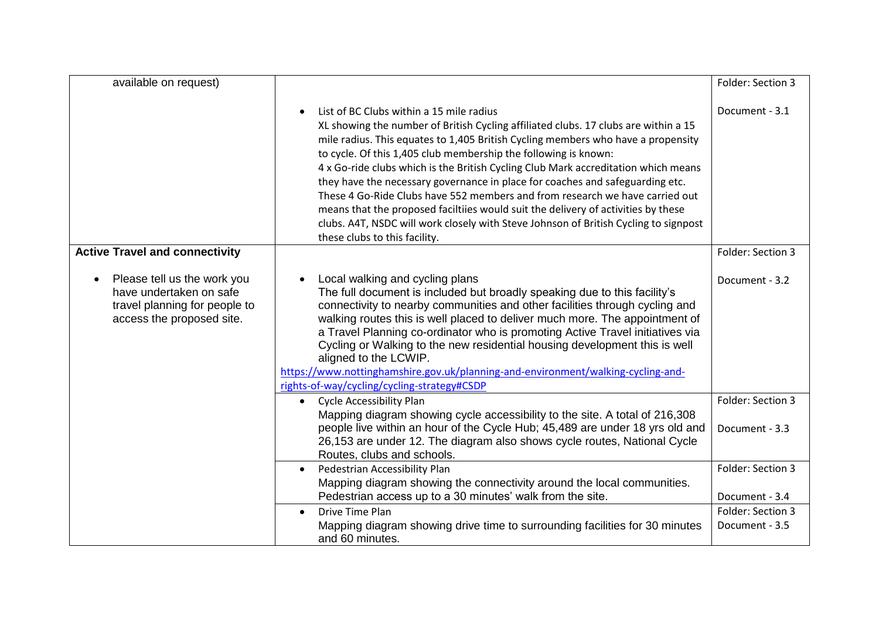| available on request)                                                                                                |                                                                                                                                                                                                                                                                                                                                                                                                                                                                                                                                                                                                                                                                                                                                                                          | Folder: Section 3                   |
|----------------------------------------------------------------------------------------------------------------------|--------------------------------------------------------------------------------------------------------------------------------------------------------------------------------------------------------------------------------------------------------------------------------------------------------------------------------------------------------------------------------------------------------------------------------------------------------------------------------------------------------------------------------------------------------------------------------------------------------------------------------------------------------------------------------------------------------------------------------------------------------------------------|-------------------------------------|
|                                                                                                                      | List of BC Clubs within a 15 mile radius<br>$\bullet$<br>XL showing the number of British Cycling affiliated clubs. 17 clubs are within a 15<br>mile radius. This equates to 1,405 British Cycling members who have a propensity<br>to cycle. Of this 1,405 club membership the following is known:<br>4 x Go-ride clubs which is the British Cycling Club Mark accreditation which means<br>they have the necessary governance in place for coaches and safeguarding etc.<br>These 4 Go-Ride Clubs have 552 members and from research we have carried out<br>means that the proposed faciltiies would suit the delivery of activities by these<br>clubs. A4T, NSDC will work closely with Steve Johnson of British Cycling to signpost<br>these clubs to this facility. | Document - 3.1                      |
| <b>Active Travel and connectivity</b>                                                                                |                                                                                                                                                                                                                                                                                                                                                                                                                                                                                                                                                                                                                                                                                                                                                                          | Folder: Section 3                   |
| Please tell us the work you<br>have undertaken on safe<br>travel planning for people to<br>access the proposed site. | Local walking and cycling plans<br>$\bullet$<br>The full document is included but broadly speaking due to this facility's<br>connectivity to nearby communities and other facilities through cycling and<br>walking routes this is well placed to deliver much more. The appointment of<br>a Travel Planning co-ordinator who is promoting Active Travel initiatives via<br>Cycling or Walking to the new residential housing development this is well<br>aligned to the LCWIP.<br>https://www.nottinghamshire.gov.uk/planning-and-environment/walking-cycling-and-<br>rights-of-way/cycling/cycling-strategy#CSDP                                                                                                                                                       | Document - 3.2                      |
|                                                                                                                      | <b>Cycle Accessibility Plan</b><br>$\bullet$<br>Mapping diagram showing cycle accessibility to the site. A total of 216,308<br>people live within an hour of the Cycle Hub; 45,489 are under 18 yrs old and<br>26,153 are under 12. The diagram also shows cycle routes, National Cycle<br>Routes, clubs and schools.                                                                                                                                                                                                                                                                                                                                                                                                                                                    | Folder: Section 3<br>Document - 3.3 |
|                                                                                                                      | Pedestrian Accessibility Plan<br>$\bullet$<br>Mapping diagram showing the connectivity around the local communities.<br>Pedestrian access up to a 30 minutes' walk from the site.                                                                                                                                                                                                                                                                                                                                                                                                                                                                                                                                                                                        | Folder: Section 3<br>Document - 3.4 |
|                                                                                                                      | Drive Time Plan<br>$\bullet$<br>Mapping diagram showing drive time to surrounding facilities for 30 minutes<br>and 60 minutes.                                                                                                                                                                                                                                                                                                                                                                                                                                                                                                                                                                                                                                           | Folder: Section 3<br>Document - 3.5 |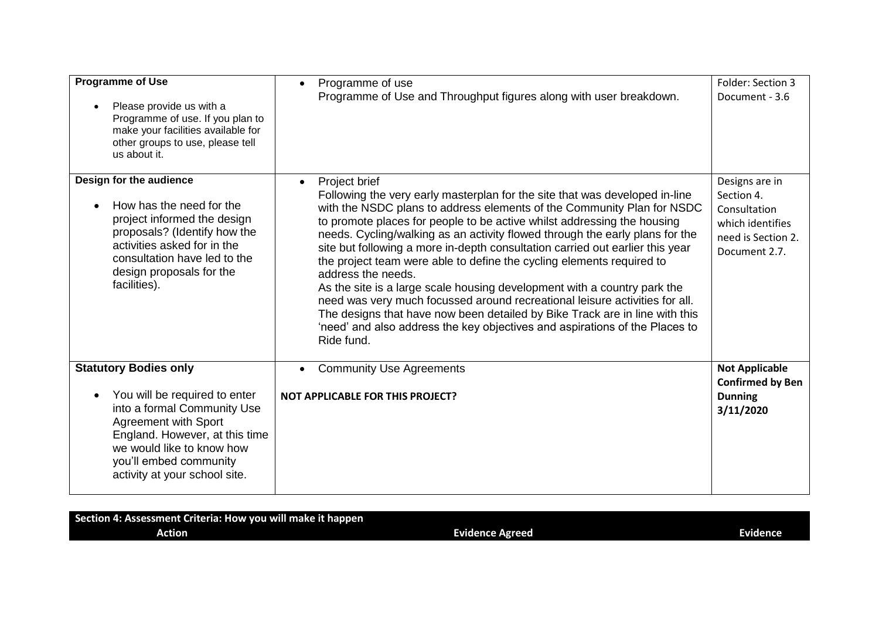| <b>Programme of Use</b><br>Please provide us with a<br>Programme of use. If you plan to<br>make your facilities available for<br>other groups to use, please tell<br>us about it.                                                                     | Programme of use<br>$\bullet$<br>Programme of Use and Throughput figures along with user breakdown.                                                                                                                                                                                                                                                                                                                                                                                                                                                                                                                                                                                                                                                                                                                                                                   | Folder: Section 3<br>Document - 3.6                                                                     |
|-------------------------------------------------------------------------------------------------------------------------------------------------------------------------------------------------------------------------------------------------------|-----------------------------------------------------------------------------------------------------------------------------------------------------------------------------------------------------------------------------------------------------------------------------------------------------------------------------------------------------------------------------------------------------------------------------------------------------------------------------------------------------------------------------------------------------------------------------------------------------------------------------------------------------------------------------------------------------------------------------------------------------------------------------------------------------------------------------------------------------------------------|---------------------------------------------------------------------------------------------------------|
| Design for the audience<br>How has the need for the<br>project informed the design<br>proposals? (Identify how the<br>activities asked for in the<br>consultation have led to the<br>design proposals for the<br>facilities).                         | Project brief<br>$\bullet$<br>Following the very early masterplan for the site that was developed in-line<br>with the NSDC plans to address elements of the Community Plan for NSDC<br>to promote places for people to be active whilst addressing the housing<br>needs. Cycling/walking as an activity flowed through the early plans for the<br>site but following a more in-depth consultation carried out earlier this year<br>the project team were able to define the cycling elements required to<br>address the needs.<br>As the site is a large scale housing development with a country park the<br>need was very much focussed around recreational leisure activities for all.<br>The designs that have now been detailed by Bike Track are in line with this<br>'need' and also address the key objectives and aspirations of the Places to<br>Ride fund. | Designs are in<br>Section 4.<br>Consultation<br>which identifies<br>need is Section 2.<br>Document 2.7. |
| <b>Statutory Bodies only</b><br>You will be required to enter<br>into a formal Community Use<br><b>Agreement with Sport</b><br>England. However, at this time<br>we would like to know how<br>you'll embed community<br>activity at your school site. | <b>Community Use Agreements</b><br><b>NOT APPLICABLE FOR THIS PROJECT?</b>                                                                                                                                                                                                                                                                                                                                                                                                                                                                                                                                                                                                                                                                                                                                                                                            | <b>Not Applicable</b><br><b>Confirmed by Ben</b><br><b>Dunning</b><br>3/11/2020                         |

| Section 4: Assessment Criteria: How you will make it happen |                        |          |
|-------------------------------------------------------------|------------------------|----------|
| Action                                                      | <b>Evidence Agreed</b> | Evidence |
|                                                             |                        |          |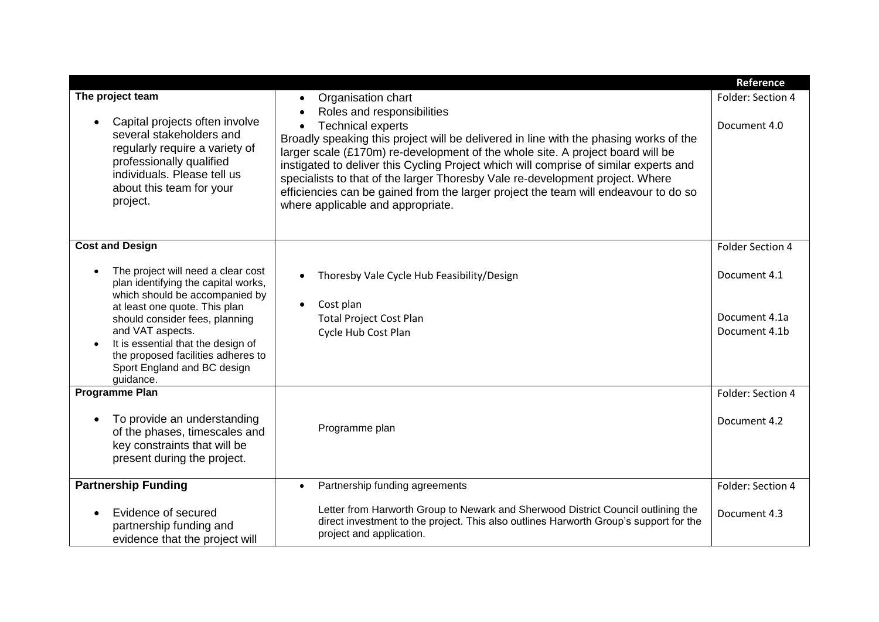|                                                                                                                                                                                                                                                                                                                            |                                                                                                                                                                                                                                                                                                                                                                                                                                                                                                                                                                                                        | Reference                                      |
|----------------------------------------------------------------------------------------------------------------------------------------------------------------------------------------------------------------------------------------------------------------------------------------------------------------------------|--------------------------------------------------------------------------------------------------------------------------------------------------------------------------------------------------------------------------------------------------------------------------------------------------------------------------------------------------------------------------------------------------------------------------------------------------------------------------------------------------------------------------------------------------------------------------------------------------------|------------------------------------------------|
| The project team<br>Capital projects often involve<br>several stakeholders and<br>regularly require a variety of<br>professionally qualified<br>individuals. Please tell us<br>about this team for your<br>project.                                                                                                        | Organisation chart<br>$\bullet$<br>Roles and responsibilities<br>$\bullet$<br><b>Technical experts</b><br>$\bullet$<br>Broadly speaking this project will be delivered in line with the phasing works of the<br>larger scale $(E170m)$ re-development of the whole site. A project board will be<br>instigated to deliver this Cycling Project which will comprise of similar experts and<br>specialists to that of the larger Thoresby Vale re-development project. Where<br>efficiencies can be gained from the larger project the team will endeavour to do so<br>where applicable and appropriate. | Folder: Section 4<br>Document 4.0              |
| <b>Cost and Design</b>                                                                                                                                                                                                                                                                                                     |                                                                                                                                                                                                                                                                                                                                                                                                                                                                                                                                                                                                        | Folder Section 4                               |
| The project will need a clear cost<br>plan identifying the capital works,<br>which should be accompanied by<br>at least one quote. This plan<br>should consider fees, planning<br>and VAT aspects.<br>It is essential that the design of<br>the proposed facilities adheres to<br>Sport England and BC design<br>guidance. | Thoresby Vale Cycle Hub Feasibility/Design<br>$\bullet$<br>Cost plan<br>$\bullet$<br><b>Total Project Cost Plan</b><br>Cycle Hub Cost Plan                                                                                                                                                                                                                                                                                                                                                                                                                                                             | Document 4.1<br>Document 4.1a<br>Document 4.1b |
| <b>Programme Plan</b><br>To provide an understanding<br>of the phases, timescales and<br>key constraints that will be<br>present during the project.                                                                                                                                                                       | Programme plan                                                                                                                                                                                                                                                                                                                                                                                                                                                                                                                                                                                         | Folder: Section 4<br>Document 4.2              |
| <b>Partnership Funding</b>                                                                                                                                                                                                                                                                                                 | Partnership funding agreements<br>$\bullet$                                                                                                                                                                                                                                                                                                                                                                                                                                                                                                                                                            | Folder: Section 4                              |
| Evidence of secured<br>partnership funding and<br>evidence that the project will                                                                                                                                                                                                                                           | Letter from Harworth Group to Newark and Sherwood District Council outlining the<br>direct investment to the project. This also outlines Harworth Group's support for the<br>project and application.                                                                                                                                                                                                                                                                                                                                                                                                  | Document 4.3                                   |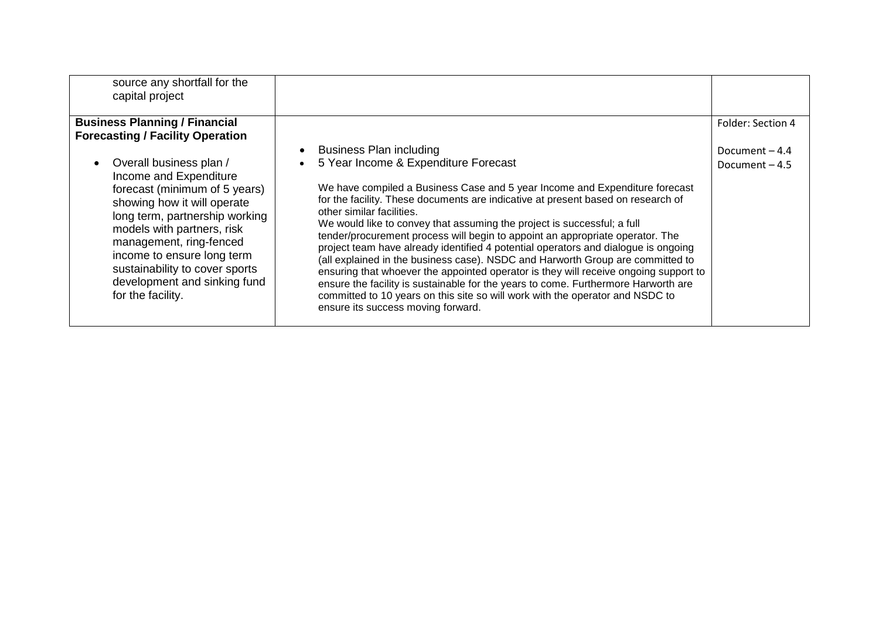| source any shortfall for the<br>capital project                                                                                                                                                                                                                                                                                   |                                                                                                                                                                                                                                                                                                                                                                                                                                                                                                                                                                                                                                                                                                                                                                                                                                                                                                                                           |                                    |
|-----------------------------------------------------------------------------------------------------------------------------------------------------------------------------------------------------------------------------------------------------------------------------------------------------------------------------------|-------------------------------------------------------------------------------------------------------------------------------------------------------------------------------------------------------------------------------------------------------------------------------------------------------------------------------------------------------------------------------------------------------------------------------------------------------------------------------------------------------------------------------------------------------------------------------------------------------------------------------------------------------------------------------------------------------------------------------------------------------------------------------------------------------------------------------------------------------------------------------------------------------------------------------------------|------------------------------------|
| <b>Business Planning / Financial</b><br><b>Forecasting / Facility Operation</b>                                                                                                                                                                                                                                                   |                                                                                                                                                                                                                                                                                                                                                                                                                                                                                                                                                                                                                                                                                                                                                                                                                                                                                                                                           | Folder: Section 4                  |
| Overall business plan /<br>Income and Expenditure<br>forecast (minimum of 5 years)<br>showing how it will operate<br>long term, partnership working<br>models with partners, risk<br>management, ring-fenced<br>income to ensure long term<br>sustainability to cover sports<br>development and sinking fund<br>for the facility. | <b>Business Plan including</b><br>$\bullet$<br>5 Year Income & Expenditure Forecast<br>$\bullet$<br>We have compiled a Business Case and 5 year Income and Expenditure forecast<br>for the facility. These documents are indicative at present based on research of<br>other similar facilities.<br>We would like to convey that assuming the project is successful; a full<br>tender/procurement process will begin to appoint an appropriate operator. The<br>project team have already identified 4 potential operators and dialogue is ongoing<br>(all explained in the business case). NSDC and Harworth Group are committed to<br>ensuring that whoever the appointed operator is they will receive ongoing support to<br>ensure the facility is sustainable for the years to come. Furthermore Harworth are<br>committed to 10 years on this site so will work with the operator and NSDC to<br>ensure its success moving forward. | Document $-4.4$<br>Document $-4.5$ |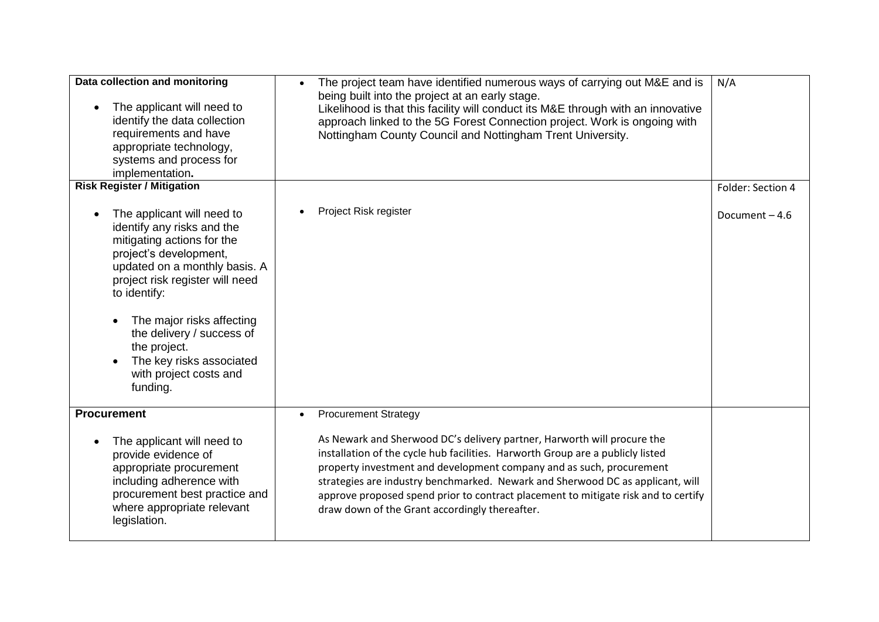| Data collection and monitoring<br>The applicant will need to<br>identify the data collection<br>requirements and have<br>appropriate technology,<br>systems and process for<br>implementation.                                                                                                                                                   | The project team have identified numerous ways of carrying out M&E and is<br>$\bullet$<br>being built into the project at an early stage.<br>Likelihood is that this facility will conduct its M&E through with an innovative<br>approach linked to the 5G Forest Connection project. Work is ongoing with<br>Nottingham County Council and Nottingham Trent University.                                                                                    | N/A               |
|--------------------------------------------------------------------------------------------------------------------------------------------------------------------------------------------------------------------------------------------------------------------------------------------------------------------------------------------------|-------------------------------------------------------------------------------------------------------------------------------------------------------------------------------------------------------------------------------------------------------------------------------------------------------------------------------------------------------------------------------------------------------------------------------------------------------------|-------------------|
| <b>Risk Register / Mitigation</b>                                                                                                                                                                                                                                                                                                                |                                                                                                                                                                                                                                                                                                                                                                                                                                                             | Folder: Section 4 |
| The applicant will need to<br>identify any risks and the<br>mitigating actions for the<br>project's development,<br>updated on a monthly basis. A<br>project risk register will need<br>to identify:<br>The major risks affecting<br>the delivery / success of<br>the project.<br>The key risks associated<br>with project costs and<br>funding. | Project Risk register                                                                                                                                                                                                                                                                                                                                                                                                                                       | Document-4.6      |
| <b>Procurement</b>                                                                                                                                                                                                                                                                                                                               | <b>Procurement Strategy</b><br>$\bullet$                                                                                                                                                                                                                                                                                                                                                                                                                    |                   |
| The applicant will need to<br>provide evidence of<br>appropriate procurement<br>including adherence with<br>procurement best practice and<br>where appropriate relevant<br>legislation.                                                                                                                                                          | As Newark and Sherwood DC's delivery partner, Harworth will procure the<br>installation of the cycle hub facilities. Harworth Group are a publicly listed<br>property investment and development company and as such, procurement<br>strategies are industry benchmarked. Newark and Sherwood DC as applicant, will<br>approve proposed spend prior to contract placement to mitigate risk and to certify<br>draw down of the Grant accordingly thereafter. |                   |